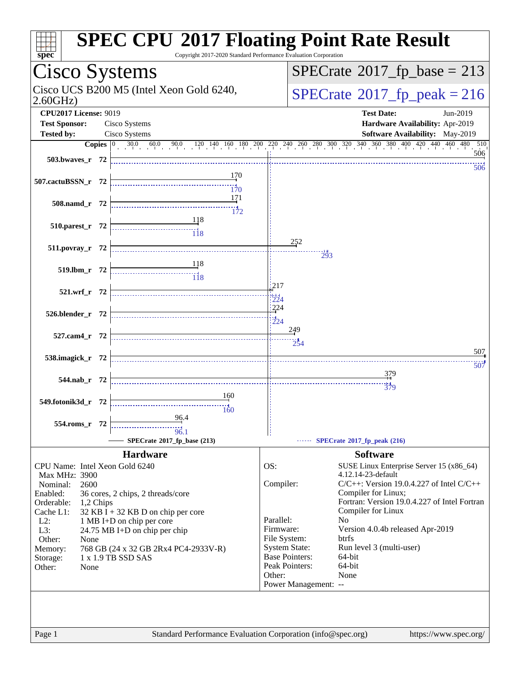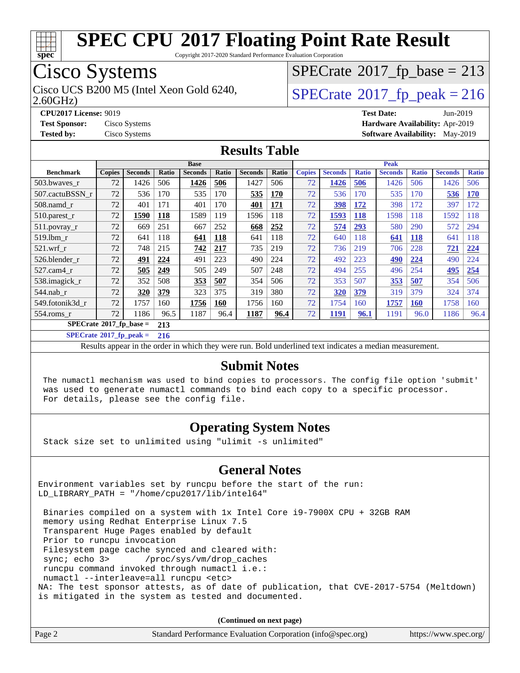

Copyright 2017-2020 Standard Performance Evaluation Corporation

# Cisco Systems

2.60GHz) Cisco UCS B200 M5 (Intel Xeon Gold 6240,  $SPECrate@2017_fp\_peak = 216$  $SPECrate@2017_fp\_peak = 216$ 

# $SPECTate$ <sup>®</sup>[2017\\_fp\\_base =](http://www.spec.org/auto/cpu2017/Docs/result-fields.html#SPECrate2017fpbase) 213

**[CPU2017 License:](http://www.spec.org/auto/cpu2017/Docs/result-fields.html#CPU2017License)** 9019 **[Test Date:](http://www.spec.org/auto/cpu2017/Docs/result-fields.html#TestDate)** Jun-2019 **[Test Sponsor:](http://www.spec.org/auto/cpu2017/Docs/result-fields.html#TestSponsor)** Cisco Systems **[Hardware Availability:](http://www.spec.org/auto/cpu2017/Docs/result-fields.html#HardwareAvailability)** Apr-2019 **[Tested by:](http://www.spec.org/auto/cpu2017/Docs/result-fields.html#Testedby)** Cisco Systems **[Software Availability:](http://www.spec.org/auto/cpu2017/Docs/result-fields.html#SoftwareAvailability)** May-2019

#### **[Results Table](http://www.spec.org/auto/cpu2017/Docs/result-fields.html#ResultsTable)**

|                                        | <b>Base</b>   |                |            |                |       | <b>Peak</b>    |            |               |                |              |                |              |                |              |
|----------------------------------------|---------------|----------------|------------|----------------|-------|----------------|------------|---------------|----------------|--------------|----------------|--------------|----------------|--------------|
| <b>Benchmark</b>                       | <b>Copies</b> | <b>Seconds</b> | Ratio      | <b>Seconds</b> | Ratio | <b>Seconds</b> | Ratio      | <b>Copies</b> | <b>Seconds</b> | <b>Ratio</b> | <b>Seconds</b> | <b>Ratio</b> | <b>Seconds</b> | <b>Ratio</b> |
| 503.bwaves_r                           | 72            | 1426           | 506        | 1426           | 506   | 1427           | 506        | 72            | 1426           | 506          | 1426           | 506          | 1426           | 506          |
| 507.cactuBSSN r                        | 72            | 536            | 170        | 535            | 170   | 535            | <b>170</b> | 72            | 536            | 170          | 535            | 170          | 536            | <b>170</b>   |
| $508$ .namd $r$                        | 72            | 401            | 171        | 401            | 170   | 401            | 171        | 72            | 398            | 172          | 398            | 172          | 397            | 172          |
| $510.parest_r$                         | 72            | 1590           | <u>118</u> | 1589           | 119   | 1596           | 118        | 72            | 1593           | <u>118</u>   | 1598           | 118          | 1592           | 118          |
| 511.povray_r                           | 72            | 669            | 251        | 667            | 252   | 668            | 252        | 72            | 574            | 293          | 580            | 290          | 572            | 294          |
| 519.1bm r                              | 72            | 641            | 118        | 641            | 118   | 641            | 118        | 72            | 640            | 118          | 641            | 118          | 641            | 118          |
| $521$ .wrf r                           | 72            | 748            | 215        | 742            | 217   | 735            | 219        | 72            | 736            | 219          | 706            | 228          | 721            | 224          |
| 526.blender r                          | 72            | 491            | 224        | 491            | 223   | 490            | 224        | 72            | 492            | 223          | <b>490</b>     | 224          | 490            | 224          |
| 527.cam4 r                             | 72            | 505            | 249        | 505            | 249   | 507            | 248        | 72            | 494            | 255          | 496            | 254          | 495            | 254          |
| 538.imagick_r                          | 72            | 352            | 508        | <b>353</b>     | 507   | 354            | 506        | 72            | 353            | 507          | 353            | 507          | 354            | 506          |
| $544$ .nab r                           | 72            | 320            | 379        | 323            | 375   | 319            | 380        | 72            | 320            | 379          | 319            | 379          | 324            | 374          |
| 549.fotonik3d r                        | 72            | 1757           | 160        | 1756           | 160   | 1756           | 160        | 72            | 1754           | 160          | 1757           | <b>160</b>   | 1758           | 160          |
| $554$ .roms r                          | 72            | 1186           | 96.5       | 1187           | 96.4  | 1187           | 96.4       | 72            | 1191           | 96.1         | 1191           | 96.0         | 1186           | 96.4         |
| $SPECrate$ <sup>®</sup> 2017_fp_base = |               | 213            |            |                |       |                |            |               |                |              |                |              |                |              |

**[SPECrate](http://www.spec.org/auto/cpu2017/Docs/result-fields.html#SPECrate2017fppeak)[2017\\_fp\\_peak =](http://www.spec.org/auto/cpu2017/Docs/result-fields.html#SPECrate2017fppeak) 216**

Results appear in the [order in which they were run.](http://www.spec.org/auto/cpu2017/Docs/result-fields.html#RunOrder) Bold underlined text [indicates a median measurement.](http://www.spec.org/auto/cpu2017/Docs/result-fields.html#Median)

#### **[Submit Notes](http://www.spec.org/auto/cpu2017/Docs/result-fields.html#SubmitNotes)**

 The numactl mechanism was used to bind copies to processors. The config file option 'submit' was used to generate numactl commands to bind each copy to a specific processor. For details, please see the config file.

#### **[Operating System Notes](http://www.spec.org/auto/cpu2017/Docs/result-fields.html#OperatingSystemNotes)**

Stack size set to unlimited using "ulimit -s unlimited"

#### **[General Notes](http://www.spec.org/auto/cpu2017/Docs/result-fields.html#GeneralNotes)**

Environment variables set by runcpu before the start of the run: LD\_LIBRARY\_PATH = "/home/cpu2017/lib/intel64"

 Binaries compiled on a system with 1x Intel Core i9-7900X CPU + 32GB RAM memory using Redhat Enterprise Linux 7.5 Transparent Huge Pages enabled by default Prior to runcpu invocation Filesystem page cache synced and cleared with: sync; echo 3> /proc/sys/vm/drop\_caches runcpu command invoked through numactl i.e.: numactl --interleave=all runcpu <etc> NA: The test sponsor attests, as of date of publication, that CVE-2017-5754 (Meltdown) is mitigated in the system as tested and documented.

**(Continued on next page)**

| Standard Performance Evaluation Corporation (info@spec.org)<br>https://www.spec.org/ |
|--------------------------------------------------------------------------------------|
|--------------------------------------------------------------------------------------|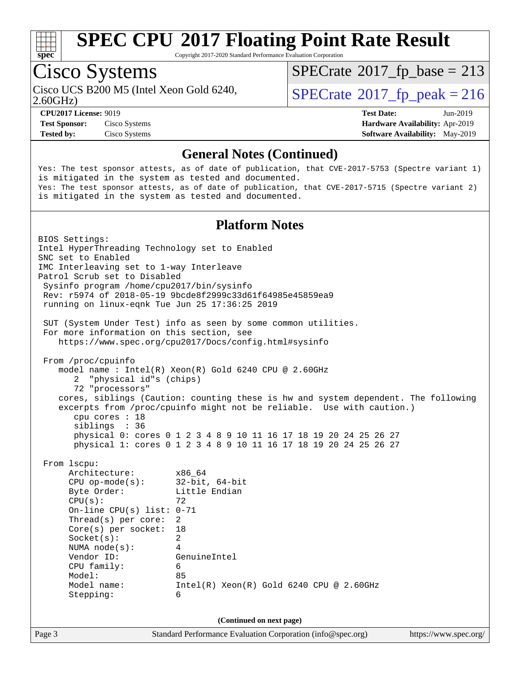

Copyright 2017-2020 Standard Performance Evaluation Corporation

# Cisco Systems

2.60GHz) Cisco UCS B200 M5 (Intel Xeon Gold 6240,  $SPECrate@2017_fp\_peak = 216$  $SPECrate@2017_fp\_peak = 216$ 

 $SPECTate$ <sup>®</sup>[2017\\_fp\\_base =](http://www.spec.org/auto/cpu2017/Docs/result-fields.html#SPECrate2017fpbase) 213

**[Test Sponsor:](http://www.spec.org/auto/cpu2017/Docs/result-fields.html#TestSponsor)** Cisco Systems **[Hardware Availability:](http://www.spec.org/auto/cpu2017/Docs/result-fields.html#HardwareAvailability)** Apr-2019 **[Tested by:](http://www.spec.org/auto/cpu2017/Docs/result-fields.html#Testedby)** Cisco Systems **[Software Availability:](http://www.spec.org/auto/cpu2017/Docs/result-fields.html#SoftwareAvailability)** May-2019

**[CPU2017 License:](http://www.spec.org/auto/cpu2017/Docs/result-fields.html#CPU2017License)** 9019 **[Test Date:](http://www.spec.org/auto/cpu2017/Docs/result-fields.html#TestDate)** Jun-2019

#### **[General Notes \(Continued\)](http://www.spec.org/auto/cpu2017/Docs/result-fields.html#GeneralNotes)**

Yes: The test sponsor attests, as of date of publication, that CVE-2017-5753 (Spectre variant 1) is mitigated in the system as tested and documented. Yes: The test sponsor attests, as of date of publication, that CVE-2017-5715 (Spectre variant 2) is mitigated in the system as tested and documented.

#### **[Platform Notes](http://www.spec.org/auto/cpu2017/Docs/result-fields.html#PlatformNotes)**

Page 3 Standard Performance Evaluation Corporation [\(info@spec.org\)](mailto:info@spec.org) <https://www.spec.org/> BIOS Settings: Intel HyperThreading Technology set to Enabled SNC set to Enabled IMC Interleaving set to 1-way Interleave Patrol Scrub set to Disabled Sysinfo program /home/cpu2017/bin/sysinfo Rev: r5974 of 2018-05-19 9bcde8f2999c33d61f64985e45859ea9 running on linux-eqnk Tue Jun 25 17:36:25 2019 SUT (System Under Test) info as seen by some common utilities. For more information on this section, see <https://www.spec.org/cpu2017/Docs/config.html#sysinfo> From /proc/cpuinfo model name : Intel(R) Xeon(R) Gold 6240 CPU @ 2.60GHz 2 "physical id"s (chips) 72 "processors" cores, siblings (Caution: counting these is hw and system dependent. The following excerpts from /proc/cpuinfo might not be reliable. Use with caution.) cpu cores : 18 siblings : 36 physical 0: cores 0 1 2 3 4 8 9 10 11 16 17 18 19 20 24 25 26 27 physical 1: cores 0 1 2 3 4 8 9 10 11 16 17 18 19 20 24 25 26 27 From lscpu: Architecture: x86\_64 CPU op-mode(s): 32-bit, 64-bit Byte Order: Little Endian  $CPU(s):$  72 On-line CPU(s) list: 0-71 Thread(s) per core: 2 Core(s) per socket: 18 Socket(s): 2 NUMA node(s): 4 Vendor ID: GenuineIntel CPU family: 6 Model: 85 Model name: Intel(R) Xeon(R) Gold 6240 CPU @ 2.60GHz Stepping: 6 **(Continued on next page)**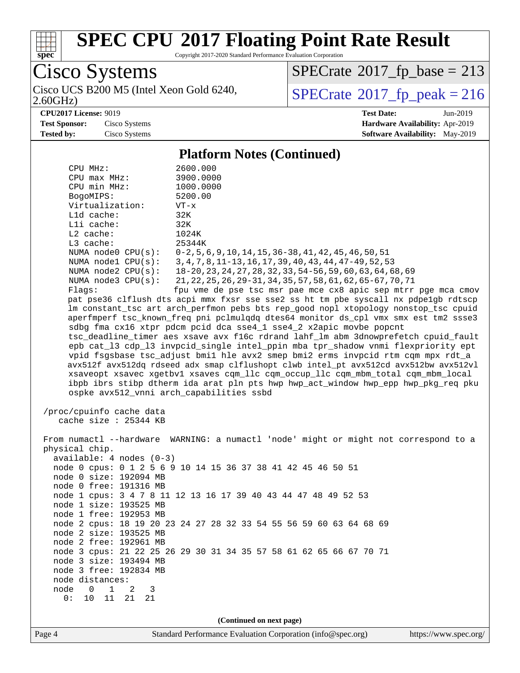

Copyright 2017-2020 Standard Performance Evaluation Corporation

Cisco Systems

2.60GHz) Cisco UCS B200 M5 (Intel Xeon Gold 6240,  $SPECrate@2017_fp\_peak = 216$  $SPECrate@2017_fp\_peak = 216$ 

 $SPECrate$ <sup>®</sup>[2017\\_fp\\_base =](http://www.spec.org/auto/cpu2017/Docs/result-fields.html#SPECrate2017fpbase) 213

**[CPU2017 License:](http://www.spec.org/auto/cpu2017/Docs/result-fields.html#CPU2017License)** 9019 **[Test Date:](http://www.spec.org/auto/cpu2017/Docs/result-fields.html#TestDate)** Jun-2019

**[Test Sponsor:](http://www.spec.org/auto/cpu2017/Docs/result-fields.html#TestSponsor)** Cisco Systems **[Hardware Availability:](http://www.spec.org/auto/cpu2017/Docs/result-fields.html#HardwareAvailability)** Apr-2019 **[Tested by:](http://www.spec.org/auto/cpu2017/Docs/result-fields.html#Testedby)** Cisco Systems **[Software Availability:](http://www.spec.org/auto/cpu2017/Docs/result-fields.html#SoftwareAvailability)** May-2019

**[Platform Notes \(Continued\)](http://www.spec.org/auto/cpu2017/Docs/result-fields.html#PlatformNotes)**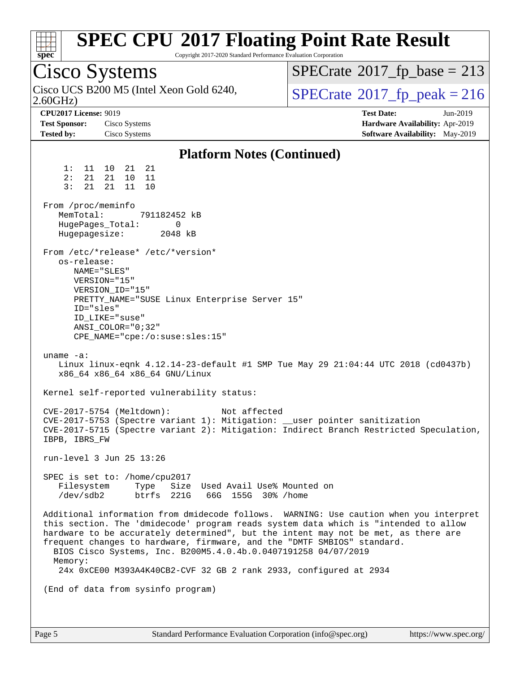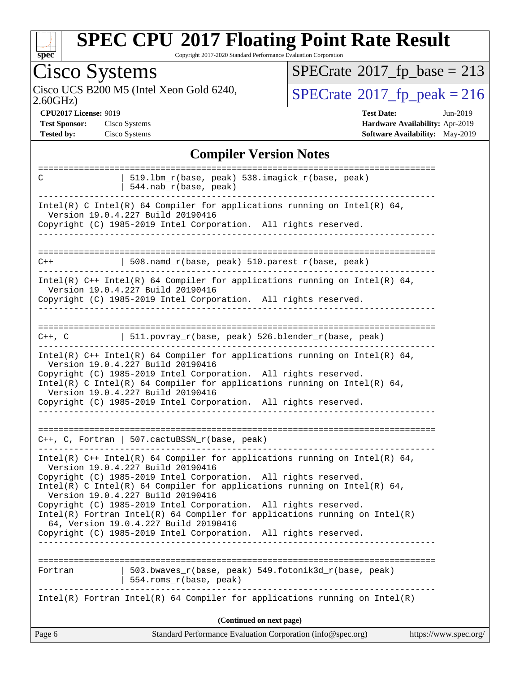

Copyright 2017-2020 Standard Performance Evaluation Corporation

| $P^{\text{rec}}$                                                                                                                                                                                                                                                                                                                                                                                                                                                                                                                                                                                                                                                                          |                                            |
|-------------------------------------------------------------------------------------------------------------------------------------------------------------------------------------------------------------------------------------------------------------------------------------------------------------------------------------------------------------------------------------------------------------------------------------------------------------------------------------------------------------------------------------------------------------------------------------------------------------------------------------------------------------------------------------------|--------------------------------------------|
| <b>Cisco Systems</b>                                                                                                                                                                                                                                                                                                                                                                                                                                                                                                                                                                                                                                                                      | $SPECTate$ <sup>®</sup> 2017_fp_base = 213 |
| Cisco UCS B200 M5 (Intel Xeon Gold 6240,<br>2.60GHz                                                                                                                                                                                                                                                                                                                                                                                                                                                                                                                                                                                                                                       | $SPECTate@2017_fp\_peak = 216$             |
| <b>CPU2017 License: 9019</b>                                                                                                                                                                                                                                                                                                                                                                                                                                                                                                                                                                                                                                                              | <b>Test Date:</b><br>Jun-2019              |
| <b>Test Sponsor:</b><br>Cisco Systems                                                                                                                                                                                                                                                                                                                                                                                                                                                                                                                                                                                                                                                     | Hardware Availability: Apr-2019            |
| <b>Tested by:</b><br>Cisco Systems                                                                                                                                                                                                                                                                                                                                                                                                                                                                                                                                                                                                                                                        | Software Availability: May-2019            |
|                                                                                                                                                                                                                                                                                                                                                                                                                                                                                                                                                                                                                                                                                           |                                            |
| <b>Compiler Version Notes</b>                                                                                                                                                                                                                                                                                                                                                                                                                                                                                                                                                                                                                                                             |                                            |
| 519.1bm_r(base, peak) 538.imagick_r(base, peak)<br>C<br>544.nab_r(base, peak)                                                                                                                                                                                                                                                                                                                                                                                                                                                                                                                                                                                                             |                                            |
| Intel(R) C Intel(R) 64 Compiler for applications running on Intel(R) 64,<br>Version 19.0.4.227 Build 20190416<br>Copyright (C) 1985-2019 Intel Corporation. All rights reserved.                                                                                                                                                                                                                                                                                                                                                                                                                                                                                                          |                                            |
| 508.namd_r(base, peak) 510.parest_r(base, peak)<br>$C++$                                                                                                                                                                                                                                                                                                                                                                                                                                                                                                                                                                                                                                  |                                            |
| Intel(R) $C++$ Intel(R) 64 Compiler for applications running on Intel(R) 64,<br>Version 19.0.4.227 Build 20190416<br>Copyright (C) 1985-2019 Intel Corporation. All rights reserved.<br>-------------                                                                                                                                                                                                                                                                                                                                                                                                                                                                                     |                                            |
| 511.povray_r(base, peak) 526.blender_r(base, peak)<br>$C++$ , $C$<br>Intel(R) $C++$ Intel(R) 64 Compiler for applications running on Intel(R) 64,<br>Version 19.0.4.227 Build 20190416<br>Copyright (C) 1985-2019 Intel Corporation. All rights reserved.<br>$Intel(R)$ C Intel(R) 64 Compiler for applications running on Intel(R) 64,<br>Version 19.0.4.227 Build 20190416                                                                                                                                                                                                                                                                                                              |                                            |
| Copyright (C) 1985-2019 Intel Corporation. All rights reserved.<br>$C++$ , C, Fortran   507.cactuBSSN_r(base, peak)<br>Intel(R) C++ Intel(R) 64 Compiler for applications running on Intel(R) 64,<br>Version 19.0.4.227 Build 20190416<br>Copyright (C) 1985-2019 Intel Corporation. All rights reserved.<br>Intel(R) C Intel(R) 64 Compiler for applications running on Intel(R) 64,<br>Version 19.0.4.227 Build 20190416<br>Copyright (C) 1985-2019 Intel Corporation. All rights reserved.<br>$Intel(R)$ Fortran Intel(R) 64 Compiler for applications running on Intel(R)<br>64, Version 19.0.4.227 Build 20190416<br>Copyright (C) 1985-2019 Intel Corporation. All rights reserved. |                                            |
| 503.bwaves_r(base, peak) 549.fotonik3d_r(base, peak)<br>Fortran<br>554.roms_r(base, peak)<br>$Intel(R)$ Fortran Intel(R) 64 Compiler for applications running on Intel(R)                                                                                                                                                                                                                                                                                                                                                                                                                                                                                                                 |                                            |
|                                                                                                                                                                                                                                                                                                                                                                                                                                                                                                                                                                                                                                                                                           |                                            |

**(Continued on next page)**

| Page 6<br>Standard Performance Evaluation Corporation (info@spec.org)<br>https://www.spec.org/ |
|------------------------------------------------------------------------------------------------|
|------------------------------------------------------------------------------------------------|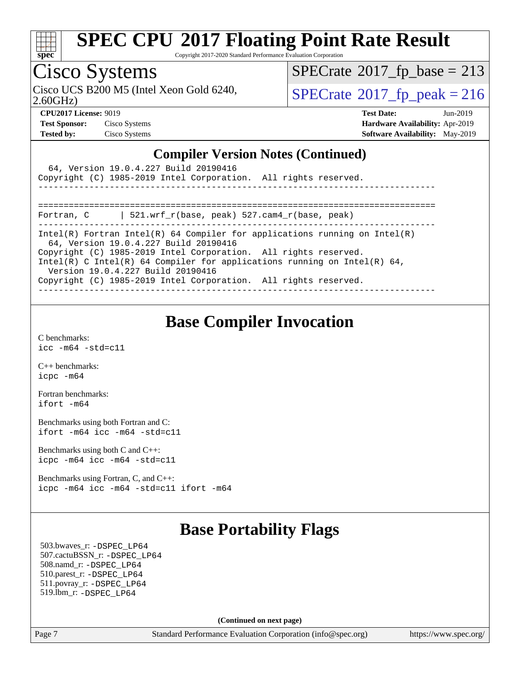

Copyright 2017-2020 Standard Performance Evaluation Corporation

# Cisco Systems

2.60GHz) Cisco UCS B200 M5 (Intel Xeon Gold 6240,  $\text{SPECrate}$  $\text{SPECrate}$  $\text{SPECrate}$ <sup>®</sup>[2017\\_fp\\_peak = 2](http://www.spec.org/auto/cpu2017/Docs/result-fields.html#SPECrate2017fppeak)16

 $SPECTate$ <sup>®</sup>[2017\\_fp\\_base =](http://www.spec.org/auto/cpu2017/Docs/result-fields.html#SPECrate2017fpbase) 213

| <b>Test Sponsor:</b> | Cisco System |
|----------------------|--------------|
| <b>Tested by:</b>    | Cisco System |

**[CPU2017 License:](http://www.spec.org/auto/cpu2017/Docs/result-fields.html#CPU2017License)** 9019 **[Test Date:](http://www.spec.org/auto/cpu2017/Docs/result-fields.html#TestDate)** Jun-2019 **Test Systems Systems Systems Systems Systems Systems Systems Systems Systems Systems Systems Systems Systems Systems Systems Systems Systems Systems Systems Systems Systems Systems Systems Systems Systems Systems Systems [Tested by:](http://www.spec.org/auto/cpu2017/Docs/result-fields.html#Testedby)** Cisco Systems **[Software Availability:](http://www.spec.org/auto/cpu2017/Docs/result-fields.html#SoftwareAvailability)** May-2019

#### **[Compiler Version Notes \(Continued\)](http://www.spec.org/auto/cpu2017/Docs/result-fields.html#CompilerVersionNotes)**

| 64, Version 19.0.4.227 Build 20190416<br>Copyright (C) 1985-2019 Intel Corporation. All rights reserved.                                                                                                                                                                                                                                                                   |  |
|----------------------------------------------------------------------------------------------------------------------------------------------------------------------------------------------------------------------------------------------------------------------------------------------------------------------------------------------------------------------------|--|
| 521.wrf r(base, peak) 527.cam4 r(base, peak)<br>Fortran, C                                                                                                                                                                                                                                                                                                                 |  |
| Intel(R) Fortran Intel(R) 64 Compiler for applications running on Intel(R)<br>64, Version 19.0.4.227 Build 20190416<br>Copyright (C) 1985-2019 Intel Corporation. All rights reserved.<br>Intel(R) C Intel(R) 64 Compiler for applications running on Intel(R) 64,<br>Version 19.0.4.227 Build 20190416<br>Copyright (C) 1985-2019 Intel Corporation. All rights reserved. |  |

### **[Base Compiler Invocation](http://www.spec.org/auto/cpu2017/Docs/result-fields.html#BaseCompilerInvocation)**

[C benchmarks](http://www.spec.org/auto/cpu2017/Docs/result-fields.html#Cbenchmarks): [icc -m64 -std=c11](http://www.spec.org/cpu2017/results/res2019q3/cpu2017-20190708-15919.flags.html#user_CCbase_intel_icc_64bit_c11_33ee0cdaae7deeeab2a9725423ba97205ce30f63b9926c2519791662299b76a0318f32ddfffdc46587804de3178b4f9328c46fa7c2b0cd779d7a61945c91cd35)

[C++ benchmarks:](http://www.spec.org/auto/cpu2017/Docs/result-fields.html#CXXbenchmarks) [icpc -m64](http://www.spec.org/cpu2017/results/res2019q3/cpu2017-20190708-15919.flags.html#user_CXXbase_intel_icpc_64bit_4ecb2543ae3f1412ef961e0650ca070fec7b7afdcd6ed48761b84423119d1bf6bdf5cad15b44d48e7256388bc77273b966e5eb805aefd121eb22e9299b2ec9d9)

[Fortran benchmarks](http://www.spec.org/auto/cpu2017/Docs/result-fields.html#Fortranbenchmarks): [ifort -m64](http://www.spec.org/cpu2017/results/res2019q3/cpu2017-20190708-15919.flags.html#user_FCbase_intel_ifort_64bit_24f2bb282fbaeffd6157abe4f878425411749daecae9a33200eee2bee2fe76f3b89351d69a8130dd5949958ce389cf37ff59a95e7a40d588e8d3a57e0c3fd751)

[Benchmarks using both Fortran and C](http://www.spec.org/auto/cpu2017/Docs/result-fields.html#BenchmarksusingbothFortranandC): [ifort -m64](http://www.spec.org/cpu2017/results/res2019q3/cpu2017-20190708-15919.flags.html#user_CC_FCbase_intel_ifort_64bit_24f2bb282fbaeffd6157abe4f878425411749daecae9a33200eee2bee2fe76f3b89351d69a8130dd5949958ce389cf37ff59a95e7a40d588e8d3a57e0c3fd751) [icc -m64 -std=c11](http://www.spec.org/cpu2017/results/res2019q3/cpu2017-20190708-15919.flags.html#user_CC_FCbase_intel_icc_64bit_c11_33ee0cdaae7deeeab2a9725423ba97205ce30f63b9926c2519791662299b76a0318f32ddfffdc46587804de3178b4f9328c46fa7c2b0cd779d7a61945c91cd35)

[Benchmarks using both C and C++](http://www.spec.org/auto/cpu2017/Docs/result-fields.html#BenchmarksusingbothCandCXX): [icpc -m64](http://www.spec.org/cpu2017/results/res2019q3/cpu2017-20190708-15919.flags.html#user_CC_CXXbase_intel_icpc_64bit_4ecb2543ae3f1412ef961e0650ca070fec7b7afdcd6ed48761b84423119d1bf6bdf5cad15b44d48e7256388bc77273b966e5eb805aefd121eb22e9299b2ec9d9) [icc -m64 -std=c11](http://www.spec.org/cpu2017/results/res2019q3/cpu2017-20190708-15919.flags.html#user_CC_CXXbase_intel_icc_64bit_c11_33ee0cdaae7deeeab2a9725423ba97205ce30f63b9926c2519791662299b76a0318f32ddfffdc46587804de3178b4f9328c46fa7c2b0cd779d7a61945c91cd35)

[Benchmarks using Fortran, C, and C++:](http://www.spec.org/auto/cpu2017/Docs/result-fields.html#BenchmarksusingFortranCandCXX) [icpc -m64](http://www.spec.org/cpu2017/results/res2019q3/cpu2017-20190708-15919.flags.html#user_CC_CXX_FCbase_intel_icpc_64bit_4ecb2543ae3f1412ef961e0650ca070fec7b7afdcd6ed48761b84423119d1bf6bdf5cad15b44d48e7256388bc77273b966e5eb805aefd121eb22e9299b2ec9d9) [icc -m64 -std=c11](http://www.spec.org/cpu2017/results/res2019q3/cpu2017-20190708-15919.flags.html#user_CC_CXX_FCbase_intel_icc_64bit_c11_33ee0cdaae7deeeab2a9725423ba97205ce30f63b9926c2519791662299b76a0318f32ddfffdc46587804de3178b4f9328c46fa7c2b0cd779d7a61945c91cd35) [ifort -m64](http://www.spec.org/cpu2017/results/res2019q3/cpu2017-20190708-15919.flags.html#user_CC_CXX_FCbase_intel_ifort_64bit_24f2bb282fbaeffd6157abe4f878425411749daecae9a33200eee2bee2fe76f3b89351d69a8130dd5949958ce389cf37ff59a95e7a40d588e8d3a57e0c3fd751)

### **[Base Portability Flags](http://www.spec.org/auto/cpu2017/Docs/result-fields.html#BasePortabilityFlags)**

 503.bwaves\_r: [-DSPEC\\_LP64](http://www.spec.org/cpu2017/results/res2019q3/cpu2017-20190708-15919.flags.html#suite_basePORTABILITY503_bwaves_r_DSPEC_LP64) 507.cactuBSSN\_r: [-DSPEC\\_LP64](http://www.spec.org/cpu2017/results/res2019q3/cpu2017-20190708-15919.flags.html#suite_basePORTABILITY507_cactuBSSN_r_DSPEC_LP64) 508.namd\_r: [-DSPEC\\_LP64](http://www.spec.org/cpu2017/results/res2019q3/cpu2017-20190708-15919.flags.html#suite_basePORTABILITY508_namd_r_DSPEC_LP64) 510.parest\_r: [-DSPEC\\_LP64](http://www.spec.org/cpu2017/results/res2019q3/cpu2017-20190708-15919.flags.html#suite_basePORTABILITY510_parest_r_DSPEC_LP64) 511.povray\_r: [-DSPEC\\_LP64](http://www.spec.org/cpu2017/results/res2019q3/cpu2017-20190708-15919.flags.html#suite_basePORTABILITY511_povray_r_DSPEC_LP64) 519.lbm\_r: [-DSPEC\\_LP64](http://www.spec.org/cpu2017/results/res2019q3/cpu2017-20190708-15919.flags.html#suite_basePORTABILITY519_lbm_r_DSPEC_LP64)

**(Continued on next page)**

Page 7 Standard Performance Evaluation Corporation [\(info@spec.org\)](mailto:info@spec.org) <https://www.spec.org/>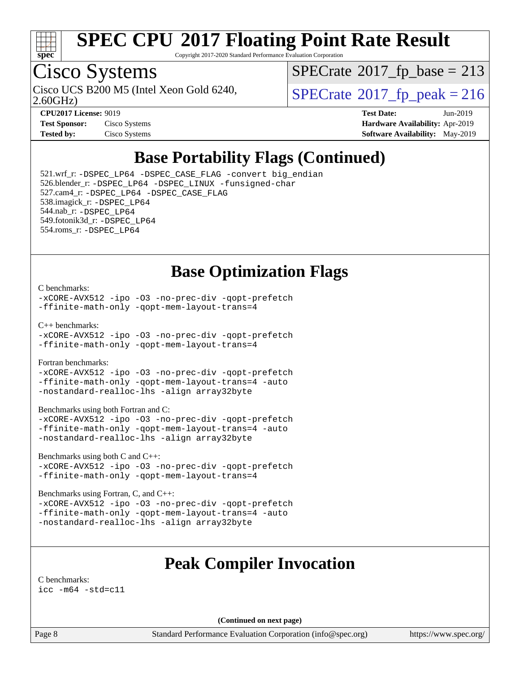

Copyright 2017-2020 Standard Performance Evaluation Corporation

# Cisco Systems

2.60GHz) Cisco UCS B200 M5 (Intel Xeon Gold 6240,  $SPECrate@2017_fp\_peak = 216$  $SPECrate@2017_fp\_peak = 216$ 

 $SPECTate$ <sup>®</sup>[2017\\_fp\\_base =](http://www.spec.org/auto/cpu2017/Docs/result-fields.html#SPECrate2017fpbase) 213

| <b>Test Sponsor:</b> | Cisco Systems |
|----------------------|---------------|
| <b>Tested by:</b>    | Cisco Systems |

**[CPU2017 License:](http://www.spec.org/auto/cpu2017/Docs/result-fields.html#CPU2017License)** 9019 **[Test Date:](http://www.spec.org/auto/cpu2017/Docs/result-fields.html#TestDate)** Jun-2019 **[Hardware Availability:](http://www.spec.org/auto/cpu2017/Docs/result-fields.html#HardwareAvailability)** Apr-2019 **[Software Availability:](http://www.spec.org/auto/cpu2017/Docs/result-fields.html#SoftwareAvailability)** May-2019

## **[Base Portability Flags \(Continued\)](http://www.spec.org/auto/cpu2017/Docs/result-fields.html#BasePortabilityFlags)**

 521.wrf\_r: [-DSPEC\\_LP64](http://www.spec.org/cpu2017/results/res2019q3/cpu2017-20190708-15919.flags.html#suite_basePORTABILITY521_wrf_r_DSPEC_LP64) [-DSPEC\\_CASE\\_FLAG](http://www.spec.org/cpu2017/results/res2019q3/cpu2017-20190708-15919.flags.html#b521.wrf_r_baseCPORTABILITY_DSPEC_CASE_FLAG) [-convert big\\_endian](http://www.spec.org/cpu2017/results/res2019q3/cpu2017-20190708-15919.flags.html#user_baseFPORTABILITY521_wrf_r_convert_big_endian_c3194028bc08c63ac5d04de18c48ce6d347e4e562e8892b8bdbdc0214820426deb8554edfa529a3fb25a586e65a3d812c835984020483e7e73212c4d31a38223) 526.blender\_r: [-DSPEC\\_LP64](http://www.spec.org/cpu2017/results/res2019q3/cpu2017-20190708-15919.flags.html#suite_basePORTABILITY526_blender_r_DSPEC_LP64) [-DSPEC\\_LINUX](http://www.spec.org/cpu2017/results/res2019q3/cpu2017-20190708-15919.flags.html#b526.blender_r_baseCPORTABILITY_DSPEC_LINUX) [-funsigned-char](http://www.spec.org/cpu2017/results/res2019q3/cpu2017-20190708-15919.flags.html#user_baseCPORTABILITY526_blender_r_force_uchar_40c60f00ab013830e2dd6774aeded3ff59883ba5a1fc5fc14077f794d777847726e2a5858cbc7672e36e1b067e7e5c1d9a74f7176df07886a243d7cc18edfe67) 527.cam4\_r: [-DSPEC\\_LP64](http://www.spec.org/cpu2017/results/res2019q3/cpu2017-20190708-15919.flags.html#suite_basePORTABILITY527_cam4_r_DSPEC_LP64) [-DSPEC\\_CASE\\_FLAG](http://www.spec.org/cpu2017/results/res2019q3/cpu2017-20190708-15919.flags.html#b527.cam4_r_baseCPORTABILITY_DSPEC_CASE_FLAG) 538.imagick\_r: [-DSPEC\\_LP64](http://www.spec.org/cpu2017/results/res2019q3/cpu2017-20190708-15919.flags.html#suite_basePORTABILITY538_imagick_r_DSPEC_LP64) 544.nab\_r: [-DSPEC\\_LP64](http://www.spec.org/cpu2017/results/res2019q3/cpu2017-20190708-15919.flags.html#suite_basePORTABILITY544_nab_r_DSPEC_LP64) 549.fotonik3d\_r: [-DSPEC\\_LP64](http://www.spec.org/cpu2017/results/res2019q3/cpu2017-20190708-15919.flags.html#suite_basePORTABILITY549_fotonik3d_r_DSPEC_LP64) 554.roms\_r: [-DSPEC\\_LP64](http://www.spec.org/cpu2017/results/res2019q3/cpu2017-20190708-15919.flags.html#suite_basePORTABILITY554_roms_r_DSPEC_LP64)

### **[Base Optimization Flags](http://www.spec.org/auto/cpu2017/Docs/result-fields.html#BaseOptimizationFlags)**

#### [C benchmarks](http://www.spec.org/auto/cpu2017/Docs/result-fields.html#Cbenchmarks):

[-xCORE-AVX512](http://www.spec.org/cpu2017/results/res2019q3/cpu2017-20190708-15919.flags.html#user_CCbase_f-xCORE-AVX512) [-ipo](http://www.spec.org/cpu2017/results/res2019q3/cpu2017-20190708-15919.flags.html#user_CCbase_f-ipo) [-O3](http://www.spec.org/cpu2017/results/res2019q3/cpu2017-20190708-15919.flags.html#user_CCbase_f-O3) [-no-prec-div](http://www.spec.org/cpu2017/results/res2019q3/cpu2017-20190708-15919.flags.html#user_CCbase_f-no-prec-div) [-qopt-prefetch](http://www.spec.org/cpu2017/results/res2019q3/cpu2017-20190708-15919.flags.html#user_CCbase_f-qopt-prefetch) [-ffinite-math-only](http://www.spec.org/cpu2017/results/res2019q3/cpu2017-20190708-15919.flags.html#user_CCbase_f_finite_math_only_cb91587bd2077682c4b38af759c288ed7c732db004271a9512da14a4f8007909a5f1427ecbf1a0fb78ff2a814402c6114ac565ca162485bbcae155b5e4258871) [-qopt-mem-layout-trans=4](http://www.spec.org/cpu2017/results/res2019q3/cpu2017-20190708-15919.flags.html#user_CCbase_f-qopt-mem-layout-trans_fa39e755916c150a61361b7846f310bcdf6f04e385ef281cadf3647acec3f0ae266d1a1d22d972a7087a248fd4e6ca390a3634700869573d231a252c784941a8)

[C++ benchmarks:](http://www.spec.org/auto/cpu2017/Docs/result-fields.html#CXXbenchmarks)

[-xCORE-AVX512](http://www.spec.org/cpu2017/results/res2019q3/cpu2017-20190708-15919.flags.html#user_CXXbase_f-xCORE-AVX512) [-ipo](http://www.spec.org/cpu2017/results/res2019q3/cpu2017-20190708-15919.flags.html#user_CXXbase_f-ipo) [-O3](http://www.spec.org/cpu2017/results/res2019q3/cpu2017-20190708-15919.flags.html#user_CXXbase_f-O3) [-no-prec-div](http://www.spec.org/cpu2017/results/res2019q3/cpu2017-20190708-15919.flags.html#user_CXXbase_f-no-prec-div) [-qopt-prefetch](http://www.spec.org/cpu2017/results/res2019q3/cpu2017-20190708-15919.flags.html#user_CXXbase_f-qopt-prefetch) [-ffinite-math-only](http://www.spec.org/cpu2017/results/res2019q3/cpu2017-20190708-15919.flags.html#user_CXXbase_f_finite_math_only_cb91587bd2077682c4b38af759c288ed7c732db004271a9512da14a4f8007909a5f1427ecbf1a0fb78ff2a814402c6114ac565ca162485bbcae155b5e4258871) [-qopt-mem-layout-trans=4](http://www.spec.org/cpu2017/results/res2019q3/cpu2017-20190708-15919.flags.html#user_CXXbase_f-qopt-mem-layout-trans_fa39e755916c150a61361b7846f310bcdf6f04e385ef281cadf3647acec3f0ae266d1a1d22d972a7087a248fd4e6ca390a3634700869573d231a252c784941a8)

[Fortran benchmarks](http://www.spec.org/auto/cpu2017/Docs/result-fields.html#Fortranbenchmarks):

[-xCORE-AVX512](http://www.spec.org/cpu2017/results/res2019q3/cpu2017-20190708-15919.flags.html#user_FCbase_f-xCORE-AVX512) [-ipo](http://www.spec.org/cpu2017/results/res2019q3/cpu2017-20190708-15919.flags.html#user_FCbase_f-ipo) [-O3](http://www.spec.org/cpu2017/results/res2019q3/cpu2017-20190708-15919.flags.html#user_FCbase_f-O3) [-no-prec-div](http://www.spec.org/cpu2017/results/res2019q3/cpu2017-20190708-15919.flags.html#user_FCbase_f-no-prec-div) [-qopt-prefetch](http://www.spec.org/cpu2017/results/res2019q3/cpu2017-20190708-15919.flags.html#user_FCbase_f-qopt-prefetch) [-ffinite-math-only](http://www.spec.org/cpu2017/results/res2019q3/cpu2017-20190708-15919.flags.html#user_FCbase_f_finite_math_only_cb91587bd2077682c4b38af759c288ed7c732db004271a9512da14a4f8007909a5f1427ecbf1a0fb78ff2a814402c6114ac565ca162485bbcae155b5e4258871) [-qopt-mem-layout-trans=4](http://www.spec.org/cpu2017/results/res2019q3/cpu2017-20190708-15919.flags.html#user_FCbase_f-qopt-mem-layout-trans_fa39e755916c150a61361b7846f310bcdf6f04e385ef281cadf3647acec3f0ae266d1a1d22d972a7087a248fd4e6ca390a3634700869573d231a252c784941a8) [-auto](http://www.spec.org/cpu2017/results/res2019q3/cpu2017-20190708-15919.flags.html#user_FCbase_f-auto) [-nostandard-realloc-lhs](http://www.spec.org/cpu2017/results/res2019q3/cpu2017-20190708-15919.flags.html#user_FCbase_f_2003_std_realloc_82b4557e90729c0f113870c07e44d33d6f5a304b4f63d4c15d2d0f1fab99f5daaed73bdb9275d9ae411527f28b936061aa8b9c8f2d63842963b95c9dd6426b8a) [-align array32byte](http://www.spec.org/cpu2017/results/res2019q3/cpu2017-20190708-15919.flags.html#user_FCbase_align_array32byte_b982fe038af199962ba9a80c053b8342c548c85b40b8e86eb3cc33dee0d7986a4af373ac2d51c3f7cf710a18d62fdce2948f201cd044323541f22fc0fffc51b6)

[Benchmarks using both Fortran and C](http://www.spec.org/auto/cpu2017/Docs/result-fields.html#BenchmarksusingbothFortranandC):

[-xCORE-AVX512](http://www.spec.org/cpu2017/results/res2019q3/cpu2017-20190708-15919.flags.html#user_CC_FCbase_f-xCORE-AVX512) [-ipo](http://www.spec.org/cpu2017/results/res2019q3/cpu2017-20190708-15919.flags.html#user_CC_FCbase_f-ipo) [-O3](http://www.spec.org/cpu2017/results/res2019q3/cpu2017-20190708-15919.flags.html#user_CC_FCbase_f-O3) [-no-prec-div](http://www.spec.org/cpu2017/results/res2019q3/cpu2017-20190708-15919.flags.html#user_CC_FCbase_f-no-prec-div) [-qopt-prefetch](http://www.spec.org/cpu2017/results/res2019q3/cpu2017-20190708-15919.flags.html#user_CC_FCbase_f-qopt-prefetch) [-ffinite-math-only](http://www.spec.org/cpu2017/results/res2019q3/cpu2017-20190708-15919.flags.html#user_CC_FCbase_f_finite_math_only_cb91587bd2077682c4b38af759c288ed7c732db004271a9512da14a4f8007909a5f1427ecbf1a0fb78ff2a814402c6114ac565ca162485bbcae155b5e4258871) [-qopt-mem-layout-trans=4](http://www.spec.org/cpu2017/results/res2019q3/cpu2017-20190708-15919.flags.html#user_CC_FCbase_f-qopt-mem-layout-trans_fa39e755916c150a61361b7846f310bcdf6f04e385ef281cadf3647acec3f0ae266d1a1d22d972a7087a248fd4e6ca390a3634700869573d231a252c784941a8) [-auto](http://www.spec.org/cpu2017/results/res2019q3/cpu2017-20190708-15919.flags.html#user_CC_FCbase_f-auto) [-nostandard-realloc-lhs](http://www.spec.org/cpu2017/results/res2019q3/cpu2017-20190708-15919.flags.html#user_CC_FCbase_f_2003_std_realloc_82b4557e90729c0f113870c07e44d33d6f5a304b4f63d4c15d2d0f1fab99f5daaed73bdb9275d9ae411527f28b936061aa8b9c8f2d63842963b95c9dd6426b8a) [-align array32byte](http://www.spec.org/cpu2017/results/res2019q3/cpu2017-20190708-15919.flags.html#user_CC_FCbase_align_array32byte_b982fe038af199962ba9a80c053b8342c548c85b40b8e86eb3cc33dee0d7986a4af373ac2d51c3f7cf710a18d62fdce2948f201cd044323541f22fc0fffc51b6)

[Benchmarks using both C and C++](http://www.spec.org/auto/cpu2017/Docs/result-fields.html#BenchmarksusingbothCandCXX):

[-xCORE-AVX512](http://www.spec.org/cpu2017/results/res2019q3/cpu2017-20190708-15919.flags.html#user_CC_CXXbase_f-xCORE-AVX512) [-ipo](http://www.spec.org/cpu2017/results/res2019q3/cpu2017-20190708-15919.flags.html#user_CC_CXXbase_f-ipo) [-O3](http://www.spec.org/cpu2017/results/res2019q3/cpu2017-20190708-15919.flags.html#user_CC_CXXbase_f-O3) [-no-prec-div](http://www.spec.org/cpu2017/results/res2019q3/cpu2017-20190708-15919.flags.html#user_CC_CXXbase_f-no-prec-div) [-qopt-prefetch](http://www.spec.org/cpu2017/results/res2019q3/cpu2017-20190708-15919.flags.html#user_CC_CXXbase_f-qopt-prefetch) [-ffinite-math-only](http://www.spec.org/cpu2017/results/res2019q3/cpu2017-20190708-15919.flags.html#user_CC_CXXbase_f_finite_math_only_cb91587bd2077682c4b38af759c288ed7c732db004271a9512da14a4f8007909a5f1427ecbf1a0fb78ff2a814402c6114ac565ca162485bbcae155b5e4258871) [-qopt-mem-layout-trans=4](http://www.spec.org/cpu2017/results/res2019q3/cpu2017-20190708-15919.flags.html#user_CC_CXXbase_f-qopt-mem-layout-trans_fa39e755916c150a61361b7846f310bcdf6f04e385ef281cadf3647acec3f0ae266d1a1d22d972a7087a248fd4e6ca390a3634700869573d231a252c784941a8)

[Benchmarks using Fortran, C, and C++:](http://www.spec.org/auto/cpu2017/Docs/result-fields.html#BenchmarksusingFortranCandCXX)

[-xCORE-AVX512](http://www.spec.org/cpu2017/results/res2019q3/cpu2017-20190708-15919.flags.html#user_CC_CXX_FCbase_f-xCORE-AVX512) [-ipo](http://www.spec.org/cpu2017/results/res2019q3/cpu2017-20190708-15919.flags.html#user_CC_CXX_FCbase_f-ipo) [-O3](http://www.spec.org/cpu2017/results/res2019q3/cpu2017-20190708-15919.flags.html#user_CC_CXX_FCbase_f-O3) [-no-prec-div](http://www.spec.org/cpu2017/results/res2019q3/cpu2017-20190708-15919.flags.html#user_CC_CXX_FCbase_f-no-prec-div) [-qopt-prefetch](http://www.spec.org/cpu2017/results/res2019q3/cpu2017-20190708-15919.flags.html#user_CC_CXX_FCbase_f-qopt-prefetch) [-ffinite-math-only](http://www.spec.org/cpu2017/results/res2019q3/cpu2017-20190708-15919.flags.html#user_CC_CXX_FCbase_f_finite_math_only_cb91587bd2077682c4b38af759c288ed7c732db004271a9512da14a4f8007909a5f1427ecbf1a0fb78ff2a814402c6114ac565ca162485bbcae155b5e4258871) [-qopt-mem-layout-trans=4](http://www.spec.org/cpu2017/results/res2019q3/cpu2017-20190708-15919.flags.html#user_CC_CXX_FCbase_f-qopt-mem-layout-trans_fa39e755916c150a61361b7846f310bcdf6f04e385ef281cadf3647acec3f0ae266d1a1d22d972a7087a248fd4e6ca390a3634700869573d231a252c784941a8) [-auto](http://www.spec.org/cpu2017/results/res2019q3/cpu2017-20190708-15919.flags.html#user_CC_CXX_FCbase_f-auto) [-nostandard-realloc-lhs](http://www.spec.org/cpu2017/results/res2019q3/cpu2017-20190708-15919.flags.html#user_CC_CXX_FCbase_f_2003_std_realloc_82b4557e90729c0f113870c07e44d33d6f5a304b4f63d4c15d2d0f1fab99f5daaed73bdb9275d9ae411527f28b936061aa8b9c8f2d63842963b95c9dd6426b8a) [-align array32byte](http://www.spec.org/cpu2017/results/res2019q3/cpu2017-20190708-15919.flags.html#user_CC_CXX_FCbase_align_array32byte_b982fe038af199962ba9a80c053b8342c548c85b40b8e86eb3cc33dee0d7986a4af373ac2d51c3f7cf710a18d62fdce2948f201cd044323541f22fc0fffc51b6)

### **[Peak Compiler Invocation](http://www.spec.org/auto/cpu2017/Docs/result-fields.html#PeakCompilerInvocation)**

[C benchmarks](http://www.spec.org/auto/cpu2017/Docs/result-fields.html#Cbenchmarks): [icc -m64 -std=c11](http://www.spec.org/cpu2017/results/res2019q3/cpu2017-20190708-15919.flags.html#user_CCpeak_intel_icc_64bit_c11_33ee0cdaae7deeeab2a9725423ba97205ce30f63b9926c2519791662299b76a0318f32ddfffdc46587804de3178b4f9328c46fa7c2b0cd779d7a61945c91cd35)

**(Continued on next page)**

Page 8 Standard Performance Evaluation Corporation [\(info@spec.org\)](mailto:info@spec.org) <https://www.spec.org/>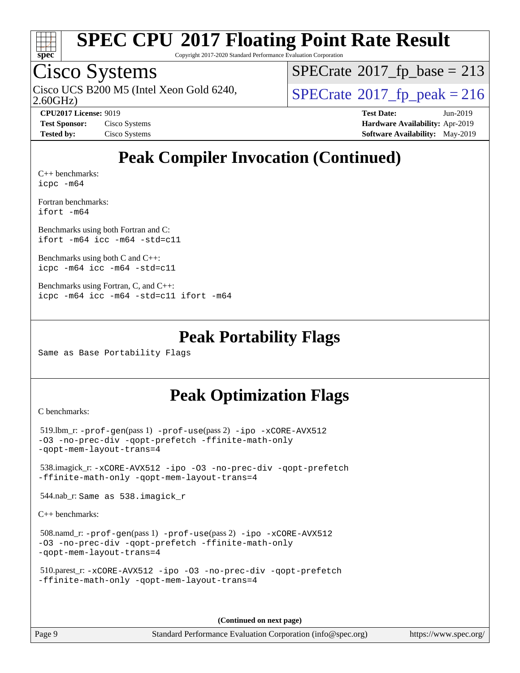

Copyright 2017-2020 Standard Performance Evaluation Corporation

## Cisco Systems

2.60GHz) Cisco UCS B200 M5 (Intel Xeon Gold 6240,  $SPECrate@2017_fp\_peak = 216$  $SPECrate@2017_fp\_peak = 216$ 

 $SPECTate$ <sup>®</sup>[2017\\_fp\\_base =](http://www.spec.org/auto/cpu2017/Docs/result-fields.html#SPECrate2017fpbase) 213

**[Tested by:](http://www.spec.org/auto/cpu2017/Docs/result-fields.html#Testedby)** Cisco Systems **[Software Availability:](http://www.spec.org/auto/cpu2017/Docs/result-fields.html#SoftwareAvailability)** May-2019

**[CPU2017 License:](http://www.spec.org/auto/cpu2017/Docs/result-fields.html#CPU2017License)** 9019 **[Test Date:](http://www.spec.org/auto/cpu2017/Docs/result-fields.html#TestDate)** Jun-2019 **[Test Sponsor:](http://www.spec.org/auto/cpu2017/Docs/result-fields.html#TestSponsor)** Cisco Systems **[Hardware Availability:](http://www.spec.org/auto/cpu2017/Docs/result-fields.html#HardwareAvailability)** Apr-2019

# **[Peak Compiler Invocation \(Continued\)](http://www.spec.org/auto/cpu2017/Docs/result-fields.html#PeakCompilerInvocation)**

[C++ benchmarks:](http://www.spec.org/auto/cpu2017/Docs/result-fields.html#CXXbenchmarks) [icpc -m64](http://www.spec.org/cpu2017/results/res2019q3/cpu2017-20190708-15919.flags.html#user_CXXpeak_intel_icpc_64bit_4ecb2543ae3f1412ef961e0650ca070fec7b7afdcd6ed48761b84423119d1bf6bdf5cad15b44d48e7256388bc77273b966e5eb805aefd121eb22e9299b2ec9d9)

[Fortran benchmarks](http://www.spec.org/auto/cpu2017/Docs/result-fields.html#Fortranbenchmarks): [ifort -m64](http://www.spec.org/cpu2017/results/res2019q3/cpu2017-20190708-15919.flags.html#user_FCpeak_intel_ifort_64bit_24f2bb282fbaeffd6157abe4f878425411749daecae9a33200eee2bee2fe76f3b89351d69a8130dd5949958ce389cf37ff59a95e7a40d588e8d3a57e0c3fd751)

[Benchmarks using both Fortran and C](http://www.spec.org/auto/cpu2017/Docs/result-fields.html#BenchmarksusingbothFortranandC): [ifort -m64](http://www.spec.org/cpu2017/results/res2019q3/cpu2017-20190708-15919.flags.html#user_CC_FCpeak_intel_ifort_64bit_24f2bb282fbaeffd6157abe4f878425411749daecae9a33200eee2bee2fe76f3b89351d69a8130dd5949958ce389cf37ff59a95e7a40d588e8d3a57e0c3fd751) [icc -m64 -std=c11](http://www.spec.org/cpu2017/results/res2019q3/cpu2017-20190708-15919.flags.html#user_CC_FCpeak_intel_icc_64bit_c11_33ee0cdaae7deeeab2a9725423ba97205ce30f63b9926c2519791662299b76a0318f32ddfffdc46587804de3178b4f9328c46fa7c2b0cd779d7a61945c91cd35)

[Benchmarks using both C and C++](http://www.spec.org/auto/cpu2017/Docs/result-fields.html#BenchmarksusingbothCandCXX): [icpc -m64](http://www.spec.org/cpu2017/results/res2019q3/cpu2017-20190708-15919.flags.html#user_CC_CXXpeak_intel_icpc_64bit_4ecb2543ae3f1412ef961e0650ca070fec7b7afdcd6ed48761b84423119d1bf6bdf5cad15b44d48e7256388bc77273b966e5eb805aefd121eb22e9299b2ec9d9) [icc -m64 -std=c11](http://www.spec.org/cpu2017/results/res2019q3/cpu2017-20190708-15919.flags.html#user_CC_CXXpeak_intel_icc_64bit_c11_33ee0cdaae7deeeab2a9725423ba97205ce30f63b9926c2519791662299b76a0318f32ddfffdc46587804de3178b4f9328c46fa7c2b0cd779d7a61945c91cd35)

```
Benchmarks using Fortran, C, and C++: 
icpc -m64 icc -m64 -std=c11 ifort -m64
```
### **[Peak Portability Flags](http://www.spec.org/auto/cpu2017/Docs/result-fields.html#PeakPortabilityFlags)**

Same as Base Portability Flags

### **[Peak Optimization Flags](http://www.spec.org/auto/cpu2017/Docs/result-fields.html#PeakOptimizationFlags)**

[C benchmarks](http://www.spec.org/auto/cpu2017/Docs/result-fields.html#Cbenchmarks):

```
 519.lbm_r: -prof-gen(pass 1) -prof-use(pass 2) -ipo -xCORE-AVX512
-O3 -no-prec-div -qopt-prefetch -ffinite-math-only
-qopt-mem-layout-trans=4
 538.imagick_r: -xCORE-AVX512 -ipo -O3 -no-prec-div -qopt-prefetch
-ffinite-math-only -qopt-mem-layout-trans=4
 544.nab_r: Same as 538.imagick_r
```
[C++ benchmarks:](http://www.spec.org/auto/cpu2017/Docs/result-fields.html#CXXbenchmarks)

```
 508.namd_r: -prof-gen(pass 1) -prof-use(pass 2) -ipo -xCORE-AVX512
-O3 -no-prec-div -qopt-prefetch -ffinite-math-only
-qopt-mem-layout-trans=4
```

```
 510.parest_r: -xCORE-AVX512 -ipo -O3 -no-prec-div -qopt-prefetch
-ffinite-math-only -qopt-mem-layout-trans=4
```
**(Continued on next page)**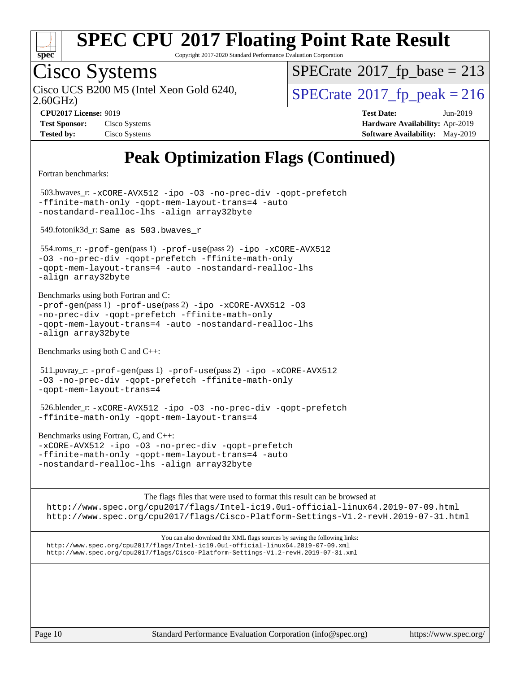

Copyright 2017-2020 Standard Performance Evaluation Corporation

# Cisco Systems

2.60GHz) Cisco UCS B200 M5 (Intel Xeon Gold 6240,  $SPECrate@2017_fp\_peak = 216$  $SPECrate@2017_fp\_peak = 216$ 

 $SPECTate$ <sup>®</sup>[2017\\_fp\\_base =](http://www.spec.org/auto/cpu2017/Docs/result-fields.html#SPECrate2017fpbase) 213

| <b>Test Sponsor:</b> | Cisco Systems |
|----------------------|---------------|
| <b>Tested by:</b>    | Cisco Systems |

**[CPU2017 License:](http://www.spec.org/auto/cpu2017/Docs/result-fields.html#CPU2017License)** 9019 **[Test Date:](http://www.spec.org/auto/cpu2017/Docs/result-fields.html#TestDate)** Jun-2019 **[Hardware Availability:](http://www.spec.org/auto/cpu2017/Docs/result-fields.html#HardwareAvailability)** Apr-2019 **[Software Availability:](http://www.spec.org/auto/cpu2017/Docs/result-fields.html#SoftwareAvailability)** May-2019

# **[Peak Optimization Flags \(Continued\)](http://www.spec.org/auto/cpu2017/Docs/result-fields.html#PeakOptimizationFlags)**

[Fortran benchmarks](http://www.spec.org/auto/cpu2017/Docs/result-fields.html#Fortranbenchmarks):

 503.bwaves\_r: [-xCORE-AVX512](http://www.spec.org/cpu2017/results/res2019q3/cpu2017-20190708-15919.flags.html#user_peakFOPTIMIZE503_bwaves_r_f-xCORE-AVX512) [-ipo](http://www.spec.org/cpu2017/results/res2019q3/cpu2017-20190708-15919.flags.html#user_peakFOPTIMIZE503_bwaves_r_f-ipo) [-O3](http://www.spec.org/cpu2017/results/res2019q3/cpu2017-20190708-15919.flags.html#user_peakFOPTIMIZE503_bwaves_r_f-O3) [-no-prec-div](http://www.spec.org/cpu2017/results/res2019q3/cpu2017-20190708-15919.flags.html#user_peakFOPTIMIZE503_bwaves_r_f-no-prec-div) [-qopt-prefetch](http://www.spec.org/cpu2017/results/res2019q3/cpu2017-20190708-15919.flags.html#user_peakFOPTIMIZE503_bwaves_r_f-qopt-prefetch) [-ffinite-math-only](http://www.spec.org/cpu2017/results/res2019q3/cpu2017-20190708-15919.flags.html#user_peakFOPTIMIZE503_bwaves_r_f_finite_math_only_cb91587bd2077682c4b38af759c288ed7c732db004271a9512da14a4f8007909a5f1427ecbf1a0fb78ff2a814402c6114ac565ca162485bbcae155b5e4258871) [-qopt-mem-layout-trans=4](http://www.spec.org/cpu2017/results/res2019q3/cpu2017-20190708-15919.flags.html#user_peakFOPTIMIZE503_bwaves_r_f-qopt-mem-layout-trans_fa39e755916c150a61361b7846f310bcdf6f04e385ef281cadf3647acec3f0ae266d1a1d22d972a7087a248fd4e6ca390a3634700869573d231a252c784941a8) [-auto](http://www.spec.org/cpu2017/results/res2019q3/cpu2017-20190708-15919.flags.html#user_peakFOPTIMIZE503_bwaves_r_f-auto) [-nostandard-realloc-lhs](http://www.spec.org/cpu2017/results/res2019q3/cpu2017-20190708-15919.flags.html#user_peakEXTRA_FOPTIMIZE503_bwaves_r_f_2003_std_realloc_82b4557e90729c0f113870c07e44d33d6f5a304b4f63d4c15d2d0f1fab99f5daaed73bdb9275d9ae411527f28b936061aa8b9c8f2d63842963b95c9dd6426b8a) [-align array32byte](http://www.spec.org/cpu2017/results/res2019q3/cpu2017-20190708-15919.flags.html#user_peakEXTRA_FOPTIMIZE503_bwaves_r_align_array32byte_b982fe038af199962ba9a80c053b8342c548c85b40b8e86eb3cc33dee0d7986a4af373ac2d51c3f7cf710a18d62fdce2948f201cd044323541f22fc0fffc51b6)

549.fotonik3d\_r: Same as 503.bwaves\_r

 554.roms\_r: [-prof-gen](http://www.spec.org/cpu2017/results/res2019q3/cpu2017-20190708-15919.flags.html#user_peakPASS1_FFLAGSPASS1_LDFLAGS554_roms_r_prof_gen_5aa4926d6013ddb2a31985c654b3eb18169fc0c6952a63635c234f711e6e63dd76e94ad52365559451ec499a2cdb89e4dc58ba4c67ef54ca681ffbe1461d6b36)(pass 1) [-prof-use](http://www.spec.org/cpu2017/results/res2019q3/cpu2017-20190708-15919.flags.html#user_peakPASS2_FFLAGSPASS2_LDFLAGS554_roms_r_prof_use_1a21ceae95f36a2b53c25747139a6c16ca95bd9def2a207b4f0849963b97e94f5260e30a0c64f4bb623698870e679ca08317ef8150905d41bd88c6f78df73f19)(pass 2) [-ipo](http://www.spec.org/cpu2017/results/res2019q3/cpu2017-20190708-15919.flags.html#user_peakPASS1_FOPTIMIZEPASS2_FOPTIMIZE554_roms_r_f-ipo) [-xCORE-AVX512](http://www.spec.org/cpu2017/results/res2019q3/cpu2017-20190708-15919.flags.html#user_peakPASS2_FOPTIMIZE554_roms_r_f-xCORE-AVX512) [-O3](http://www.spec.org/cpu2017/results/res2019q3/cpu2017-20190708-15919.flags.html#user_peakPASS1_FOPTIMIZEPASS2_FOPTIMIZE554_roms_r_f-O3) [-no-prec-div](http://www.spec.org/cpu2017/results/res2019q3/cpu2017-20190708-15919.flags.html#user_peakPASS1_FOPTIMIZEPASS2_FOPTIMIZE554_roms_r_f-no-prec-div) [-qopt-prefetch](http://www.spec.org/cpu2017/results/res2019q3/cpu2017-20190708-15919.flags.html#user_peakPASS1_FOPTIMIZEPASS2_FOPTIMIZE554_roms_r_f-qopt-prefetch) [-ffinite-math-only](http://www.spec.org/cpu2017/results/res2019q3/cpu2017-20190708-15919.flags.html#user_peakPASS1_FOPTIMIZEPASS2_FOPTIMIZE554_roms_r_f_finite_math_only_cb91587bd2077682c4b38af759c288ed7c732db004271a9512da14a4f8007909a5f1427ecbf1a0fb78ff2a814402c6114ac565ca162485bbcae155b5e4258871) [-qopt-mem-layout-trans=4](http://www.spec.org/cpu2017/results/res2019q3/cpu2017-20190708-15919.flags.html#user_peakPASS1_FOPTIMIZEPASS2_FOPTIMIZE554_roms_r_f-qopt-mem-layout-trans_fa39e755916c150a61361b7846f310bcdf6f04e385ef281cadf3647acec3f0ae266d1a1d22d972a7087a248fd4e6ca390a3634700869573d231a252c784941a8) [-auto](http://www.spec.org/cpu2017/results/res2019q3/cpu2017-20190708-15919.flags.html#user_peakPASS2_FOPTIMIZE554_roms_r_f-auto) [-nostandard-realloc-lhs](http://www.spec.org/cpu2017/results/res2019q3/cpu2017-20190708-15919.flags.html#user_peakEXTRA_FOPTIMIZE554_roms_r_f_2003_std_realloc_82b4557e90729c0f113870c07e44d33d6f5a304b4f63d4c15d2d0f1fab99f5daaed73bdb9275d9ae411527f28b936061aa8b9c8f2d63842963b95c9dd6426b8a) [-align array32byte](http://www.spec.org/cpu2017/results/res2019q3/cpu2017-20190708-15919.flags.html#user_peakEXTRA_FOPTIMIZE554_roms_r_align_array32byte_b982fe038af199962ba9a80c053b8342c548c85b40b8e86eb3cc33dee0d7986a4af373ac2d51c3f7cf710a18d62fdce2948f201cd044323541f22fc0fffc51b6)

[Benchmarks using both Fortran and C](http://www.spec.org/auto/cpu2017/Docs/result-fields.html#BenchmarksusingbothFortranandC):  $-prof-qen(pass 1) -prof-use(pass 2) -ipo -xCORE-AVX512 -O3$  $-prof-qen(pass 1) -prof-use(pass 2) -ipo -xCORE-AVX512 -O3$  $-prof-qen(pass 1) -prof-use(pass 2) -ipo -xCORE-AVX512 -O3$  $-prof-qen(pass 1) -prof-use(pass 2) -ipo -xCORE-AVX512 -O3$  $-prof-qen(pass 1) -prof-use(pass 2) -ipo -xCORE-AVX512 -O3$  $-prof-qen(pass 1) -prof-use(pass 2) -ipo -xCORE-AVX512 -O3$  $-prof-qen(pass 1) -prof-use(pass 2) -ipo -xCORE-AVX512 -O3$  $-prof-qen(pass 1) -prof-use(pass 2) -ipo -xCORE-AVX512 -O3$ [-no-prec-div](http://www.spec.org/cpu2017/results/res2019q3/cpu2017-20190708-15919.flags.html#user_CC_FCpeak_f-no-prec-div) [-qopt-prefetch](http://www.spec.org/cpu2017/results/res2019q3/cpu2017-20190708-15919.flags.html#user_CC_FCpeak_f-qopt-prefetch) [-ffinite-math-only](http://www.spec.org/cpu2017/results/res2019q3/cpu2017-20190708-15919.flags.html#user_CC_FCpeak_f_finite_math_only_cb91587bd2077682c4b38af759c288ed7c732db004271a9512da14a4f8007909a5f1427ecbf1a0fb78ff2a814402c6114ac565ca162485bbcae155b5e4258871) [-qopt-mem-layout-trans=4](http://www.spec.org/cpu2017/results/res2019q3/cpu2017-20190708-15919.flags.html#user_CC_FCpeak_f-qopt-mem-layout-trans_fa39e755916c150a61361b7846f310bcdf6f04e385ef281cadf3647acec3f0ae266d1a1d22d972a7087a248fd4e6ca390a3634700869573d231a252c784941a8) [-auto](http://www.spec.org/cpu2017/results/res2019q3/cpu2017-20190708-15919.flags.html#user_CC_FCpeak_f-auto) [-nostandard-realloc-lhs](http://www.spec.org/cpu2017/results/res2019q3/cpu2017-20190708-15919.flags.html#user_CC_FCpeak_f_2003_std_realloc_82b4557e90729c0f113870c07e44d33d6f5a304b4f63d4c15d2d0f1fab99f5daaed73bdb9275d9ae411527f28b936061aa8b9c8f2d63842963b95c9dd6426b8a) [-align array32byte](http://www.spec.org/cpu2017/results/res2019q3/cpu2017-20190708-15919.flags.html#user_CC_FCpeak_align_array32byte_b982fe038af199962ba9a80c053b8342c548c85b40b8e86eb3cc33dee0d7986a4af373ac2d51c3f7cf710a18d62fdce2948f201cd044323541f22fc0fffc51b6)

[Benchmarks using both C and C++](http://www.spec.org/auto/cpu2017/Docs/result-fields.html#BenchmarksusingbothCandCXX):

 511.povray\_r: [-prof-gen](http://www.spec.org/cpu2017/results/res2019q3/cpu2017-20190708-15919.flags.html#user_peakPASS1_CFLAGSPASS1_CXXFLAGSPASS1_LDFLAGS511_povray_r_prof_gen_5aa4926d6013ddb2a31985c654b3eb18169fc0c6952a63635c234f711e6e63dd76e94ad52365559451ec499a2cdb89e4dc58ba4c67ef54ca681ffbe1461d6b36)(pass 1) [-prof-use](http://www.spec.org/cpu2017/results/res2019q3/cpu2017-20190708-15919.flags.html#user_peakPASS2_CFLAGSPASS2_CXXFLAGSPASS2_LDFLAGS511_povray_r_prof_use_1a21ceae95f36a2b53c25747139a6c16ca95bd9def2a207b4f0849963b97e94f5260e30a0c64f4bb623698870e679ca08317ef8150905d41bd88c6f78df73f19)(pass 2) [-ipo](http://www.spec.org/cpu2017/results/res2019q3/cpu2017-20190708-15919.flags.html#user_peakPASS1_COPTIMIZEPASS1_CXXOPTIMIZEPASS2_COPTIMIZEPASS2_CXXOPTIMIZE511_povray_r_f-ipo) [-xCORE-AVX512](http://www.spec.org/cpu2017/results/res2019q3/cpu2017-20190708-15919.flags.html#user_peakPASS2_COPTIMIZEPASS2_CXXOPTIMIZE511_povray_r_f-xCORE-AVX512) [-O3](http://www.spec.org/cpu2017/results/res2019q3/cpu2017-20190708-15919.flags.html#user_peakPASS1_COPTIMIZEPASS1_CXXOPTIMIZEPASS2_COPTIMIZEPASS2_CXXOPTIMIZE511_povray_r_f-O3) [-no-prec-div](http://www.spec.org/cpu2017/results/res2019q3/cpu2017-20190708-15919.flags.html#user_peakPASS1_COPTIMIZEPASS1_CXXOPTIMIZEPASS2_COPTIMIZEPASS2_CXXOPTIMIZE511_povray_r_f-no-prec-div) [-qopt-prefetch](http://www.spec.org/cpu2017/results/res2019q3/cpu2017-20190708-15919.flags.html#user_peakPASS1_COPTIMIZEPASS1_CXXOPTIMIZEPASS2_COPTIMIZEPASS2_CXXOPTIMIZE511_povray_r_f-qopt-prefetch) [-ffinite-math-only](http://www.spec.org/cpu2017/results/res2019q3/cpu2017-20190708-15919.flags.html#user_peakPASS1_COPTIMIZEPASS1_CXXOPTIMIZEPASS2_COPTIMIZEPASS2_CXXOPTIMIZE511_povray_r_f_finite_math_only_cb91587bd2077682c4b38af759c288ed7c732db004271a9512da14a4f8007909a5f1427ecbf1a0fb78ff2a814402c6114ac565ca162485bbcae155b5e4258871) [-qopt-mem-layout-trans=4](http://www.spec.org/cpu2017/results/res2019q3/cpu2017-20190708-15919.flags.html#user_peakPASS1_COPTIMIZEPASS1_CXXOPTIMIZEPASS2_COPTIMIZEPASS2_CXXOPTIMIZE511_povray_r_f-qopt-mem-layout-trans_fa39e755916c150a61361b7846f310bcdf6f04e385ef281cadf3647acec3f0ae266d1a1d22d972a7087a248fd4e6ca390a3634700869573d231a252c784941a8)

 526.blender\_r: [-xCORE-AVX512](http://www.spec.org/cpu2017/results/res2019q3/cpu2017-20190708-15919.flags.html#user_peakCOPTIMIZECXXOPTIMIZE526_blender_r_f-xCORE-AVX512) [-ipo](http://www.spec.org/cpu2017/results/res2019q3/cpu2017-20190708-15919.flags.html#user_peakCOPTIMIZECXXOPTIMIZE526_blender_r_f-ipo) [-O3](http://www.spec.org/cpu2017/results/res2019q3/cpu2017-20190708-15919.flags.html#user_peakCOPTIMIZECXXOPTIMIZE526_blender_r_f-O3) [-no-prec-div](http://www.spec.org/cpu2017/results/res2019q3/cpu2017-20190708-15919.flags.html#user_peakCOPTIMIZECXXOPTIMIZE526_blender_r_f-no-prec-div) [-qopt-prefetch](http://www.spec.org/cpu2017/results/res2019q3/cpu2017-20190708-15919.flags.html#user_peakCOPTIMIZECXXOPTIMIZE526_blender_r_f-qopt-prefetch) [-ffinite-math-only](http://www.spec.org/cpu2017/results/res2019q3/cpu2017-20190708-15919.flags.html#user_peakCOPTIMIZECXXOPTIMIZE526_blender_r_f_finite_math_only_cb91587bd2077682c4b38af759c288ed7c732db004271a9512da14a4f8007909a5f1427ecbf1a0fb78ff2a814402c6114ac565ca162485bbcae155b5e4258871) [-qopt-mem-layout-trans=4](http://www.spec.org/cpu2017/results/res2019q3/cpu2017-20190708-15919.flags.html#user_peakCOPTIMIZECXXOPTIMIZE526_blender_r_f-qopt-mem-layout-trans_fa39e755916c150a61361b7846f310bcdf6f04e385ef281cadf3647acec3f0ae266d1a1d22d972a7087a248fd4e6ca390a3634700869573d231a252c784941a8)

[Benchmarks using Fortran, C, and C++:](http://www.spec.org/auto/cpu2017/Docs/result-fields.html#BenchmarksusingFortranCandCXX) [-xCORE-AVX512](http://www.spec.org/cpu2017/results/res2019q3/cpu2017-20190708-15919.flags.html#user_CC_CXX_FCpeak_f-xCORE-AVX512) [-ipo](http://www.spec.org/cpu2017/results/res2019q3/cpu2017-20190708-15919.flags.html#user_CC_CXX_FCpeak_f-ipo) [-O3](http://www.spec.org/cpu2017/results/res2019q3/cpu2017-20190708-15919.flags.html#user_CC_CXX_FCpeak_f-O3) [-no-prec-div](http://www.spec.org/cpu2017/results/res2019q3/cpu2017-20190708-15919.flags.html#user_CC_CXX_FCpeak_f-no-prec-div) [-qopt-prefetch](http://www.spec.org/cpu2017/results/res2019q3/cpu2017-20190708-15919.flags.html#user_CC_CXX_FCpeak_f-qopt-prefetch) [-ffinite-math-only](http://www.spec.org/cpu2017/results/res2019q3/cpu2017-20190708-15919.flags.html#user_CC_CXX_FCpeak_f_finite_math_only_cb91587bd2077682c4b38af759c288ed7c732db004271a9512da14a4f8007909a5f1427ecbf1a0fb78ff2a814402c6114ac565ca162485bbcae155b5e4258871) [-qopt-mem-layout-trans=4](http://www.spec.org/cpu2017/results/res2019q3/cpu2017-20190708-15919.flags.html#user_CC_CXX_FCpeak_f-qopt-mem-layout-trans_fa39e755916c150a61361b7846f310bcdf6f04e385ef281cadf3647acec3f0ae266d1a1d22d972a7087a248fd4e6ca390a3634700869573d231a252c784941a8) [-auto](http://www.spec.org/cpu2017/results/res2019q3/cpu2017-20190708-15919.flags.html#user_CC_CXX_FCpeak_f-auto) [-nostandard-realloc-lhs](http://www.spec.org/cpu2017/results/res2019q3/cpu2017-20190708-15919.flags.html#user_CC_CXX_FCpeak_f_2003_std_realloc_82b4557e90729c0f113870c07e44d33d6f5a304b4f63d4c15d2d0f1fab99f5daaed73bdb9275d9ae411527f28b936061aa8b9c8f2d63842963b95c9dd6426b8a) [-align array32byte](http://www.spec.org/cpu2017/results/res2019q3/cpu2017-20190708-15919.flags.html#user_CC_CXX_FCpeak_align_array32byte_b982fe038af199962ba9a80c053b8342c548c85b40b8e86eb3cc33dee0d7986a4af373ac2d51c3f7cf710a18d62fdce2948f201cd044323541f22fc0fffc51b6)

[The flags files that were used to format this result can be browsed at](tmsearch) <http://www.spec.org/cpu2017/flags/Intel-ic19.0u1-official-linux64.2019-07-09.html> <http://www.spec.org/cpu2017/flags/Cisco-Platform-Settings-V1.2-revH.2019-07-31.html>

[You can also download the XML flags sources by saving the following links:](tmsearch) <http://www.spec.org/cpu2017/flags/Intel-ic19.0u1-official-linux64.2019-07-09.xml> <http://www.spec.org/cpu2017/flags/Cisco-Platform-Settings-V1.2-revH.2019-07-31.xml>